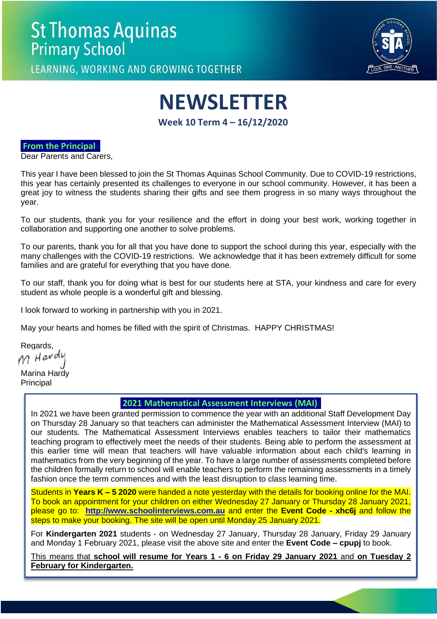# **St Thomas Aquinas Primary School**

LEARNING, WORKING AND GROWING TOGETHER

**NEWSLETTER**

**Week 10 Term 4 – 16/12/2020**

## **From the Principal**

Dear Parents and Carers,

This year I have been blessed to join the St Thomas Aquinas School Community. Due to COVID-19 restrictions, this year has certainly presented its challenges to everyone in our school community. However, it has been a great joy to witness the students sharing their gifts and see them progress in so many ways throughout the year.

To our students, thank you for your resilience and the effort in doing your best work, working together in collaboration and supporting one another to solve problems.

To our parents, thank you for all that you have done to support the school during this year, especially with the many challenges with the COVID-19 restrictions. We acknowledge that it has been extremely difficult for some families and are grateful for everything that you have done.

To our staff, thank you for doing what is best for our students here at STA, your kindness and care for every student as whole people is a wonderful gift and blessing.

I look forward to working in partnership with you in 2021.

May your hearts and homes be filled with the spirit of Christmas. HAPPY CHRISTMAS!

Regards,<br>M. H*avo*lu

Marina Hardy Principal

## **2021 Mathematical Assessment Interviews (MAI)**

In 2021 we have been granted permission to commence the year with an additional Staff Development Day on Thursday 28 January so that teachers can administer the Mathematical Assessment Interview (MAI) to our students. The Mathematical Assessment Interviews enables teachers to tailor their mathematics teaching program to effectively meet the needs of their students. Being able to perform the assessment at this earlier time will mean that teachers will have valuable information about each child's learning in mathematics from the very beginning of the year. To have a large number of assessments completed before the children formally return to school will enable teachers to perform the remaining assessments in a timely fashion once the term commences and with the least disruption to class learning time.

Students in **Years K – 5 2020** were handed a note yesterday with the details for booking online for the MAI. To book an appointment for your children on either Wednesday 27 January or Thursday 28 January 2021, please go to: **[http://www.schoolinterviews.com.au](http://www.schoolinterviews.com.au/)** and enter the **Event Code - xhc6j** and follow the steps to make your booking. The site will be open until Monday 25 January 2021.

For **Kindergarten 2021** students - on Wednesday 27 January, Thursday 28 January, Friday 29 January and Monday 1 February 2021, please visit the above site and enter the **Event Code – cpupj** to book.

This means that **school will resume for Years 1 - 6 on Friday 29 January 2021** and **on Tuesday 2 February for Kindergarten.**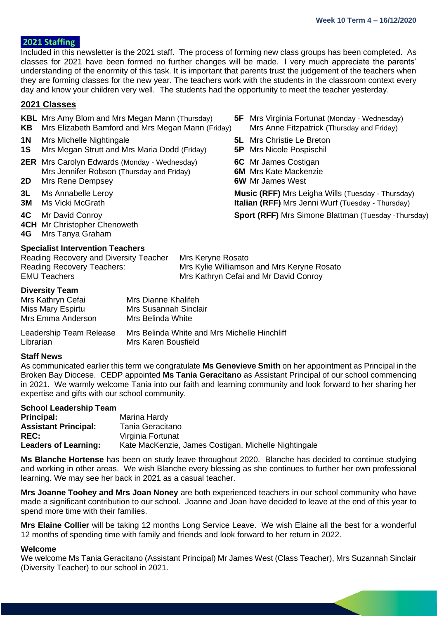## **2021 Staffing**

Included in this newsletter is the 2021 staff. The process of forming new class groups has been completed. As classes for 2021 have been formed no further changes will be made. I very much appreciate the parents' understanding of the enormity of this task. It is important that parents trust the judgement of the teachers when they are forming classes for the new year. The teachers work with the students in the classroom context every day and know your children very well. The students had the opportunity to meet the teacher yesterday.

## **2021 Classes**

- **KBL** Mrs Amy Blom and Mrs Megan Mann (Thursday) **5F** Mrs Virginia Fortunat (Monday Wednesday)
- **KB** Mrs Elizabeth Bamford and Mrs Megan Mann (Friday) Mrs Anne Fitzpatrick (Thursday and Friday)
- **1N** Mrs Michelle Nightingale **5L** Mrs Christie Le Breton
- **1S** Mrs Megan Strutt and Mrs Maria Dodd (Friday) **5P** Mrs Nicole Pospischil
- **2ER** Mrs Carolyn Edwards (Monday Wednesday) **6C** Mr James Costigan Mrs Jennifer Robson (Thursday and Friday) **6M** Mrs Kate Mackenzie
- 
- 
- 
- 
- **4CH** Mr Christopher Chenoweth
- **4G** Mrs Tanya Graham

## **Specialist Intervention Teachers**

Reading Recovery and Diversity Teacher Mrs Keryne Rosato Reading Recovery Teachers: Mrs Kylie Williamson and Mrs Keryne Rosato EMU Teachers **Mrs Kathryn Cefai and Mr David Conroy** 

## **Diversity Team**

| Mrs Kathryn Cefai                    | Mrs Dianne Khalifeh                                                 |
|--------------------------------------|---------------------------------------------------------------------|
| Miss Mary Espirtu                    | Mrs Susannah Sinclair                                               |
| Mrs Emma Anderson                    | Mrs Belinda White                                                   |
| Leadership Team Release<br>Librarian | Mrs Belinda White and Mrs Michelle Hinchliff<br>Mrs Karen Bousfield |

### **Staff News**

As communicated earlier this term we congratulate **Ms Genevieve Smith** on her appointment as Principal in the Broken Bay Diocese. CEDP appointed **Ms Tania Geracitano** as Assistant Principal of our school commencing in 2021. We warmly welcome Tania into our faith and learning community and look forward to her sharing her expertise and gifts with our school community.

### **School Leadership Team**

| <b>Principal:</b>           | Marina Hardy                                         |
|-----------------------------|------------------------------------------------------|
| <b>Assistant Principal:</b> | Tania Geracitano                                     |
| <b>REC:</b>                 | Virginia Fortunat                                    |
| <b>Leaders of Learning:</b> | Kate MacKenzie, James Costigan, Michelle Nightingale |

**Ms Blanche Hortense** has been on study leave throughout 2020. Blanche has decided to continue studying and working in other areas. We wish Blanche every blessing as she continues to further her own professional learning. We may see her back in 2021 as a casual teacher.

**Mrs Joanne Toohey and Mrs Joan Noney** are both experienced teachers in our school community who have made a significant contribution to our school. Joanne and Joan have decided to leave at the end of this year to spend more time with their families.

**Mrs Elaine Collier** will be taking 12 months Long Service Leave. We wish Elaine all the best for a wonderful 12 months of spending time with family and friends and look forward to her return in 2022.

### **Welcome**

We welcome Ms Tania Geracitano (Assistant Principal) Mr James West (Class Teacher), Mrs Suzannah Sinclair (Diversity Teacher) to our school in 2021.

- 
- 
- 
- 
- 
- **2D** Mrs Rene Dempsey **6W** Mr James West

**3L** Ms Annabelle Leroy **Music (RFF)** Mrs Leigha Wills (Tuesday - Thursday) **3M** Ms Vicki McGrath **Italian (RFF)** Mrs Jenni Wurf (Tuesday - Thursday)

**4C** Mr David Conroy **Sport (RFF)** Mrs Simone Blattman (Tuesday -Thursday)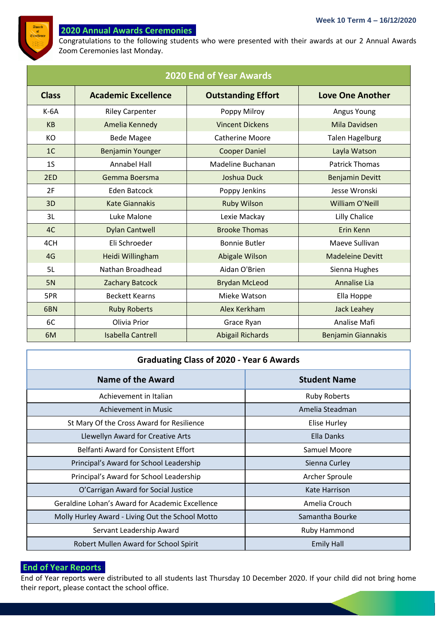

## **2020 Annual Awards Ceremonies**

Congratulations to the following students who were presented with their awards at our 2 Annual Awards Zoom Ceremonies last Monday.

| <b>2020 End of Year Awards</b> |                            |                           |                           |  |  |
|--------------------------------|----------------------------|---------------------------|---------------------------|--|--|
| <b>Class</b>                   | <b>Academic Excellence</b> | <b>Outstanding Effort</b> | <b>Love One Another</b>   |  |  |
| $K-6A$                         | <b>Riley Carpenter</b>     | Poppy Milroy              | Angus Young               |  |  |
| <b>KB</b>                      | Amelia Kennedy             | <b>Vincent Dickens</b>    | Mila Davidsen             |  |  |
| KO                             | <b>Bede Magee</b>          | <b>Catherine Moore</b>    | <b>Talen Hagelburg</b>    |  |  |
| 1 <sup>C</sup>                 | <b>Benjamin Younger</b>    | <b>Cooper Daniel</b>      | Layla Watson              |  |  |
| 1 <sub>S</sub>                 | Annabel Hall               | Madeline Buchanan         | <b>Patrick Thomas</b>     |  |  |
| 2ED                            | Gemma Boersma              | Joshua Duck               | <b>Benjamin Devitt</b>    |  |  |
| 2F                             | <b>Eden Batcock</b>        | Poppy Jenkins             | Jesse Wronski             |  |  |
| 3D                             | <b>Kate Giannakis</b>      | <b>Ruby Wilson</b>        | William O'Neill           |  |  |
| 3L                             | Luke Malone                | Lexie Mackay              | Lilly Chalice             |  |  |
| 4C                             | <b>Dylan Cantwell</b>      | <b>Brooke Thomas</b>      | Erin Kenn                 |  |  |
| 4CH                            | Eli Schroeder              | <b>Bonnie Butler</b>      | Maeve Sullivan            |  |  |
| 4G                             | Heidi Willingham           | Abigale Wilson            | <b>Madeleine Devitt</b>   |  |  |
| 5L                             | Nathan Broadhead           | Aidan O'Brien             | Sienna Hughes             |  |  |
| <b>5N</b>                      | Zachary Batcock            | <b>Brydan McLeod</b>      | Annalise Lia              |  |  |
| 5PR                            | <b>Beckett Kearns</b>      | Mieke Watson              | Ella Hoppe                |  |  |
| 6BN                            | <b>Ruby Roberts</b>        | Alex Kerkham              | <b>Jack Leahey</b>        |  |  |
| 6C                             | Olivia Prior               | Grace Ryan                | Analise Mafi              |  |  |
| 6M                             | <b>Isabella Cantrell</b>   | <b>Abigail Richards</b>   | <b>Benjamin Giannakis</b> |  |  |

## **Graduating Class of 2020 - Year 6 Awards**

| <b>Name of the Award</b>                         | <b>Student Name</b> |
|--------------------------------------------------|---------------------|
| Achievement in Italian                           | <b>Ruby Roberts</b> |
| Achievement in Music                             | Amelia Steadman     |
| St Mary Of the Cross Award for Resilience        | Elise Hurley        |
| Llewellyn Award for Creative Arts                | Ella Danks          |
| <b>Belfanti Award for Consistent Effort</b>      | Samuel Moore        |
| Principal's Award for School Leadership          | Sienna Curley       |
| Principal's Award for School Leadership          | Archer Sproule      |
| O'Carrigan Award for Social Justice              | Kate Harrison       |
| Geraldine Lohan's Award for Academic Excellence  | Amelia Crouch       |
| Molly Hurley Award - Living Out the School Motto | Samantha Bourke     |
| Servant Leadership Award                         | <b>Ruby Hammond</b> |
| Robert Mullen Award for School Spirit            | <b>Emily Hall</b>   |

## **End of Year Reportss**

End of Year reports were distributed to all students last Thursday 10 December 2020. If your child did not bring home their report, please contact the school office.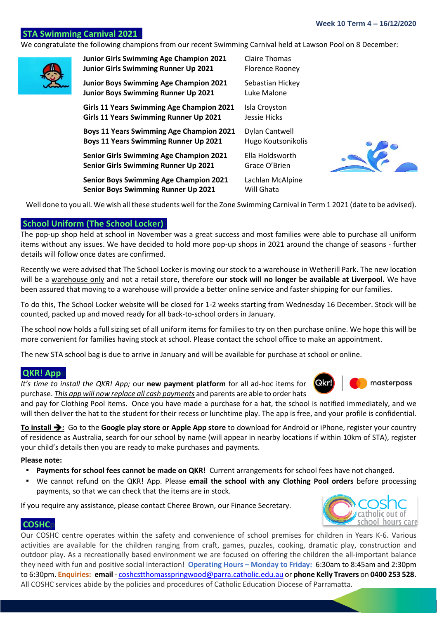## **STA Swimming Carnival 2021**

We congratulate the following champions from our recent Swimming Carnival held at Lawson Pool on 8 December:

| <b>Junior Girls Swimming Age Champion 2021</b>   | Claire Thomas          |
|--------------------------------------------------|------------------------|
| Junior Girls Swimming Runner Up 2021             | <b>Florence Rooney</b> |
| <b>Junior Boys Swimming Age Champion 2021</b>    | Sebastian Hickey       |
| <b>Junior Boys Swimming Runner Up 2021</b>       | Luke Malone            |
| <b>Girls 11 Years Swimming Age Champion 2021</b> | Isla Croyston          |
| Girls 11 Years Swimming Runner Up 2021           | Jessie Hicks           |
| <b>Boys 11 Years Swimming Age Champion 2021</b>  | Dylan Cantwell         |
| <b>Boys 11 Years Swimming Runner Up 2021</b>     | Hugo Koutsonikolis     |
| <b>Senior Girls Swimming Age Champion 2021</b>   | Ella Holdsworth        |
| <b>Senior Girls Swimming Runner Up 2021</b>      | Grace O'Brien          |
| <b>Senior Boys Swimming Age Champion 2021</b>    | Lachlan McAlpine       |
| <b>Senior Boys Swimming Runner Up 2021</b>       | Will Ghata             |

Well done to you all. We wish all these students well for the Zone Swimming Carnival in Term 1 2021 (date to be advised).

## **School Uniform (The School Locker))**

The pop-up shop held at school in November was a great success and most families were able to purchase all uniform items without any issues. We have decided to hold more pop-up shops in 2021 around the change of seasons - further details will follow once dates are confirmed.

Recently we were advised that The School Locker is moving our stock to a warehouse in Wetherill Park. The new location will be a warehouse only and not a retail store, therefore **our stock will no longer be available at Liverpool.** We have been assured that moving to a warehouse will provide a better online service and faster shipping for our families.

To do this, The School Locker website will be closed for 1-2 weeks starting from Wednesday 16 December. Stock will be counted, packed up and moved ready for all back-to-school orders in January.

The school now holds a full sizing set of all uniform items for families to try on then purchase online. We hope this will be more convenient for families having stock at school. Please contact the school office to make an appointment.

The new STA school bag is due to arrive in January and will be available for purchase at school or online.

## **QKR! App**

*It's time to install the QKR! App;* our **new payment platform** for all ad-hoc items for purchase. *This app will now replace all cash payments* and parents are able to order hats

and pay for Clothing Pool items. Once you have made a purchase for a hat, the school is notified immediately, and we will then deliver the hat to the student for their recess or lunchtime play. The app is free, and your profile is confidential.

**To install** ➔**:** Go to the **Google play store or Apple App store** to download for Android or iPhone, register your country of residence as Australia, search for our school by name (will appear in nearby locations if within 10km of STA), register your child's details then you are ready to make purchases and payments.

### **Please note:**

- **Payments for school fees cannot be made on QKR!** Current arrangements for school fees have not changed.
- We cannot refund on the QKR! App. Please **email the school with any Clothing Pool orders** before processing payments, so that we can check that the items are in stock.

If you require any assistance, please contact Cheree Brown, our Finance Secretary.

## **COSHC**

Our COSHC centre operates within the safety and convenience of school premises for children in Years K-6. Various activities are available for the children ranging from craft, games, puzzles, cooking, dramatic play, construction and outdoor play. As a recreationally based environment we are focused on offering the children the all-important balance they need with fun and positive social interaction! **Operating Hours – Monday to Friday:** 6:30am to 8:45am and 2:30pm to 6:30pm. **Enquiries: email** - [coshcstthomasspringwood@parra.catholic.edu.au](mailto:coshcstthomasspringwood@parra.catholic.edu.au) or **phone Kelly Travers** on **0400 253 528.**  All COSHC services abide by the policies and procedures of Catholic Education Diocese of Parramatta.